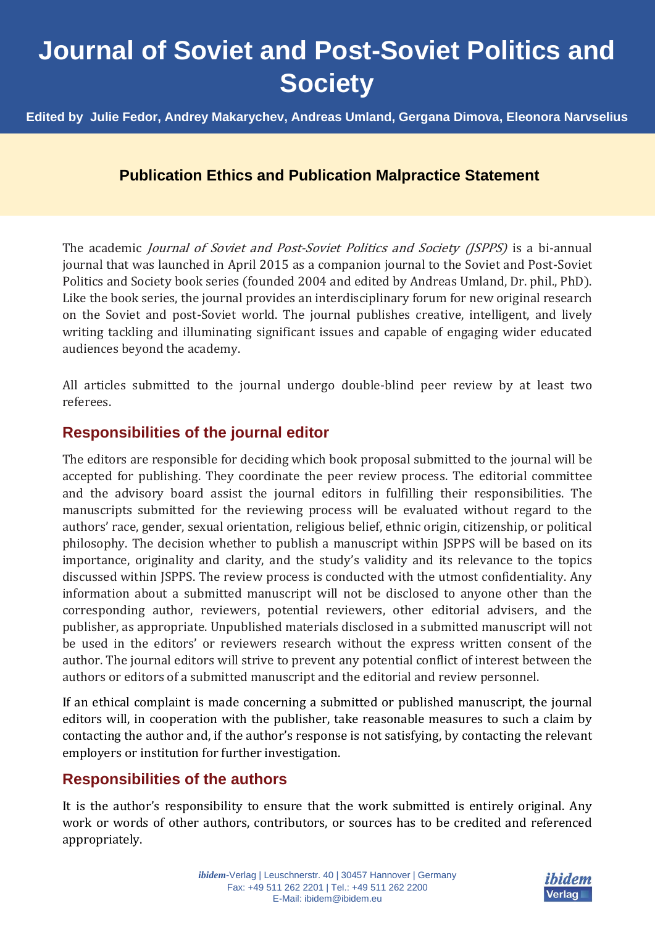# **Journal of Soviet and Post-Soviet Politics and Society**

**Edited by Julie Fedor, Andrey Makarychev, Andreas Umland, Gergana Dimova, Eleonora Narvselius**

## **Publication Ethics and Publication Malpractice Statement**

The academic *Journal of Soviet and Post-Soviet Politics and Society (JSPPS)* is a bi-annual journal that was launched in April 2015 as a companion journal to the Soviet and Post-Soviet Politics and Society book series (founded 2004 and edited by Andreas Umland, Dr. phil., PhD). Like the book series, the journal provides an interdisciplinary forum for new original research on the Soviet and post-Soviet world. The journal publishes creative, intelligent, and lively writing tackling and illuminating significant issues and capable of engaging wider educated audiences beyond the academy.

All articles submitted to the journal undergo double-blind peer review by at least two referees.

#### **Responsibilities of the journal editor**

The editors are responsible for deciding which book proposal submitted to the journal will be accepted for publishing. They coordinate the peer review process. The editorial committee and the advisory board assist the journal editors in fulfilling their responsibilities. The manuscripts submitted for the reviewing process will be evaluated without regard to the authors' race, gender, sexual orientation, religious belief, ethnic origin, citizenship, or political philosophy. The decision whether to publish a manuscript within JSPPS will be based on its importance, originality and clarity, and the study's validity and its relevance to the topics discussed within JSPPS. The review process is conducted with the utmost confidentiality. Any information about a submitted manuscript will not be disclosed to anyone other than the corresponding author, reviewers, potential reviewers, other editorial advisers, and the publisher, as appropriate. Unpublished materials disclosed in a submitted manuscript will not be used in the editors' or reviewers research without the express written consent of the author. The journal editors will strive to prevent any potential conflict of interest between the authors or editors of a submitted manuscript and the editorial and review personnel.

If an ethical complaint is made concerning a submitted or published manuscript, the journal editors will, in cooperation with the publisher, take reasonable measures to such a claim by contacting the author and, if the author's response is not satisfying, by contacting the relevant employers or institution for further investigation.

### **Responsibilities of the authors**

It is the author's responsibility to ensure that the work submitted is entirely original. Any work or words of other authors, contributors, or sources has to be credited and referenced appropriately.